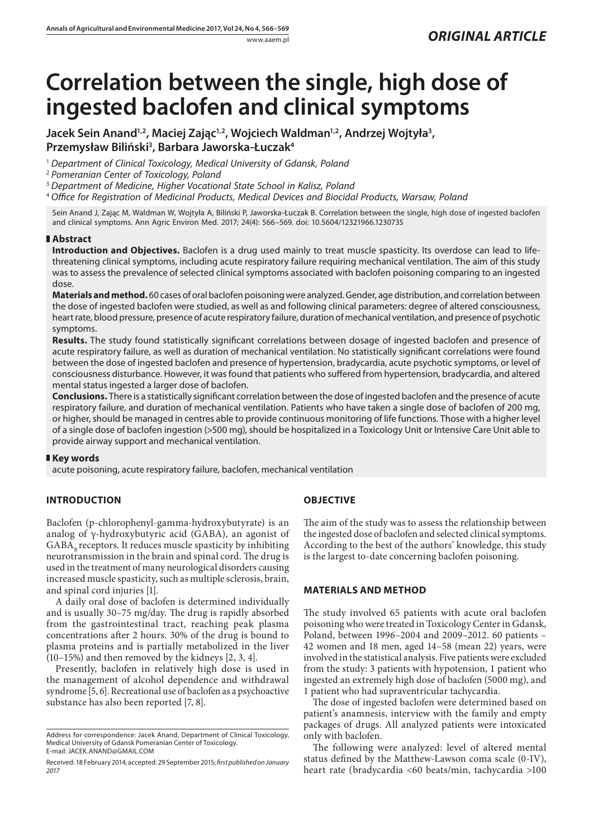# **Correlation between the single, high dose of ingested baclofen and clinical symptoms**

Jacek Sein Anand<sup>1,2</sup>, Maciej Zając<sup>1,2</sup>, Wojciech Waldman<sup>1,2</sup>, Andrzej Wojtyła<sup>3</sup>, **Przemysław Biliński3 , Barbara Jaworska-Łuczak4**

<sup>1</sup> *Department of Clinical Toxicology, Medical University of Gdansk, Poland*

<sup>2</sup> *Pomeranian Center of Toxicology, Poland*

<sup>3</sup> *Department of Medicine, Higher Vocational State School in Kalisz, Poland*

<sup>4</sup> *Office for Registration of Medicinal Products, Medical Devices and Biocidal Products, Warsaw, Poland*

Sein Anand J, Zając M, Waldman W, Wojtyła A, Biliński P, Jaworska-Łuczak B. Correlation between the single, high dose of ingested baclofen and clinical symptoms. Ann Agric Environ Med. 2017; 24(4): 566–569. doi: 10.5604/12321966.1230735

## **Abstract**

**Introduction and Objectives.** Baclofen is a drug used mainly to treat muscle spasticity. Its overdose can lead to lifethreatening clinical symptoms, including acute respiratory failure requiring mechanical ventilation. The aim of this study was to assess the prevalence of selected clinical symptoms associated with baclofen poisoning comparing to an ingested dose.

**Materials and method.** 60 cases of oral baclofen poisoning were analyzed. Gender, age distribution, and correlation between the dose of ingested baclofen were studied, as well as and following clinical parameters: degree of altered consciousness, heart rate, blood pressure, presence of acute respiratory failure, duration of mechanical ventilation, and presence of psychotic symptoms.

**Results.** The study found statistically significant correlations between dosage of ingested baclofen and presence of acute respiratory failure, as well as duration of mechanical ventilation. No statistically significant correlations were found between the dose of ingested baclofen and presence of hypertension, bradycardia, acute psychotic symptoms, or level of consciousness disturbance. However, it was found that patients who suffered from hypertension, bradycardia, and altered mental status ingested a larger dose of baclofen.

**Conclusions.** There is a statistically significant correlation between the dose of ingested baclofen and the presence of acute respiratory failure, and duration of mechanical ventilation. Patients who have taken a single dose of baclofen of 200 mg, or higher, should be managed in centres able to provide continuous monitoring of life functions. Those with a higher level of a single dose of baclofen ingestion (>500 mg), should be hospitalized in a Toxicology Unit or Intensive Care Unit able to provide airway support and mechanical ventilation.

#### **Key words**

acute poisoning, acute respiratory failure, baclofen, mechanical ventilation

# **INTRODUCTION**

Baclofen (p-chlorophenyl-gamma-hydroxybutyrate) is an analog of γ-hydroxybutyric acid (GABA), an agonist of GABA<sub>R</sub> receptors. It reduces muscle spasticity by inhibiting neurotransmission in the brain and spinal cord. The drug is used in the treatment of many neurological disorders causing increased muscle spasticity, such as multiple sclerosis, brain, and spinal cord injuries [1].

A daily oral dose of baclofen is determined individually and is usually 30–75 mg/day. The drug is rapidly absorbed from the gastrointestinal tract, reaching peak plasma concentrations after 2 hours. 30% of the drug is bound to plasma proteins and is partially metabolized in the liver (10–15%) and then removed by the kidneys [2, 3, 4].

Presently, baclofen in relatively high dose is used in the management of alcohol dependence and withdrawal syndrome [5, 6]. Recreational use of baclofen as a psychoactive substance has also been reported [7, 8].

# **OBJECTIVE**

The aim of the study was to assess the relationship between the ingested dose of baclofen and selected clinical symptoms. According to the best of the authors' knowledge, this study is the largest to-date concerning baclofen poisoning.

#### **MATERIALS AND METHOD**

The study involved 65 patients with acute oral baclofen poisoning who were treated in Toxicology Center in Gdansk, Poland, between 1996–2004 and 2009–2012. 60 patients – 42 women and 18 men, aged 14–58 (mean 22) years, were involved in the statistical analysis. Five patients were excluded from the study: 3 patients with hypotension, 1 patient who ingested an extremely high dose of baclofen (5000 mg), and 1 patient who had supraventricular tachycardia.

The dose of ingested baclofen were determined based on patient's anamnesis, interview with the family and empty packages of drugs. All analyzed patients were intoxicated only with baclofen.

The following were analyzed: level of altered mental status defined by the Matthew-Lawson coma scale (0-IV), heart rate (bradycardia <60 beats/min, tachycardia >100

Address for correspondence: Jacek Anand, Department of Clinical Toxicology, Medical University of Gdansk Pomeranian Center of Toxicology. E-mail: JACEK.ANAND@GMAIL.COM

Received: 18 February 2014; accepted: 29 September 2015; *first published on January 2017*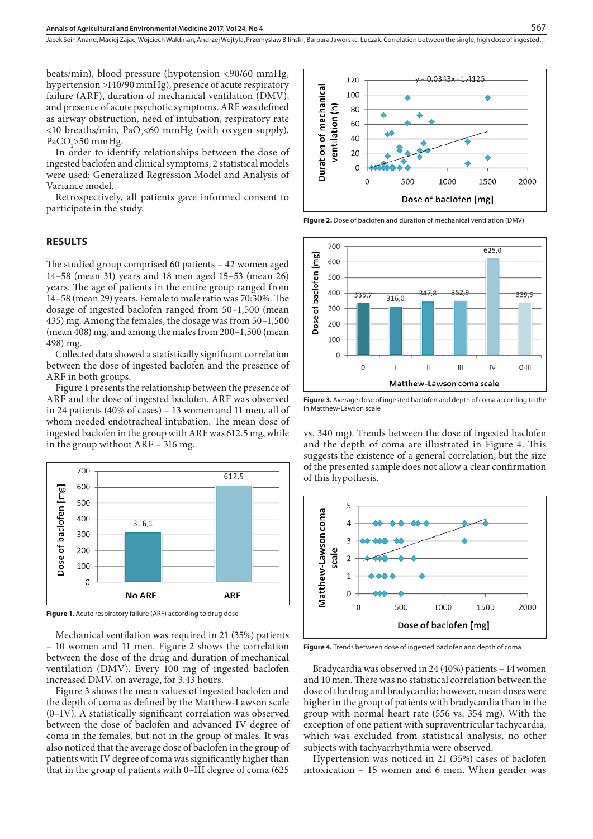Jacek Sein Anand, Maciej Zając, Wojciech Waldman, Andrzej Wojtyła, Przemysław Biliński , Barbara Jaworska-Łuczak . Correlation between the single, high dose of ingested…

beats/min), blood pressure (hypotension <90/60 mmHg, hypertension >140/90 mmHg), presence of acute respiratory failure (ARF), duration of mechanical ventilation (DMV), and presence of acute psychotic symptoms. ARF was defined as airway obstruction, need of intubation, respiratory rate  $\langle 10 \text{ breaths/min}, \text{PaO}_2 \langle 60 \text{ mmHg} \rangle$  (with oxygen supply),  $PaCO<sub>2</sub>$ >50 mmHg.

In order to identify relationships between the dose of ingested baclofen and clinical symptoms, 2 statistical models were used: Generalized Regression Model and Analysis of Variance model.

Retrospectively, all patients gave informed consent to participate in the study.

## **RESULTS**

The studied group comprised 60 patients – 42 women aged 14–58 (mean 31) years and 18 men aged 15–53 (mean 26) years. The age of patients in the entire group ranged from 14–58 (mean 29) years. Female to male ratio was 70:30%. The dosage of ingested baclofen ranged from 50–1,500 (mean 435) mg. Among the females, the dosage was from 50–1,500 (mean 408) mg, and among the males from 200–1,500 (mean 498) mg.

Collected data showed a statistically significant correlation between the dose of ingested baclofen and the presence of ARF in both groups.

Figure 1 presents the relationship between the presence of ARF and the dose of ingested baclofen. ARF was observed in 24 patients (40% of cases) – 13 women and 11 men, all of whom needed endotracheal intubation. The mean dose of ingested baclofen in the group with ARF was 612.5 mg, while in the group without ARF – 316 mg.



**Figure 1.** Acute respiratory failure (ARF) according to drug dose

Mechanical ventilation was required in 21 (35%) patients – 10 women and 11 men. Figure 2 shows the correlation between the dose of the drug and duration of mechanical ventilation (DMV). Every 100 mg of ingested baclofen increased DMV, on average, for 3.43 hours.

Figure 3 shows the mean values of ingested baclofen and the depth of coma as defined by the Matthew-Lawson scale (0–IV). A statistically significant correlation was observed between the dose of baclofen and advanced IV degree of coma in the females, but not in the group of males. It was also noticed that the average dose of baclofen in the group of patients with IV degree of coma was significantly higher than that in the group of patients with 0–III degree of coma (625



**Figure 2.** Dose of baclofen and duration of mechanical ventilation (DMV)



**Figure 3.** Average dose of ingested baclofen and depth of coma according to the in Matthew-Lawson scale

vs. 340 mg). Trends between the dose of ingested baclofen and the depth of coma are illustrated in Figure 4. This suggests the existence of a general correlation, but the size of the presented sample does not allow a clear confirmation of this hypothesis.



**Figure 4.** Trends between dose of ingested baclofen and depth of coma

Bradycardia was observed in 24 (40%) patients – 14 women and 10 men. There was no statistical correlation between the dose of the drug and bradycardia; however, mean doses were higher in the group of patients with bradycardia than in the group with normal heart rate (556 vs. 354 mg). With the exception of one patient with supraventricular tachycardia, which was excluded from statistical analysis, no other subjects with tachyarrhythmia were observed.

Hypertension was noticed in 21 (35%) cases of baclofen intoxication – 15 women and 6 men. When gender was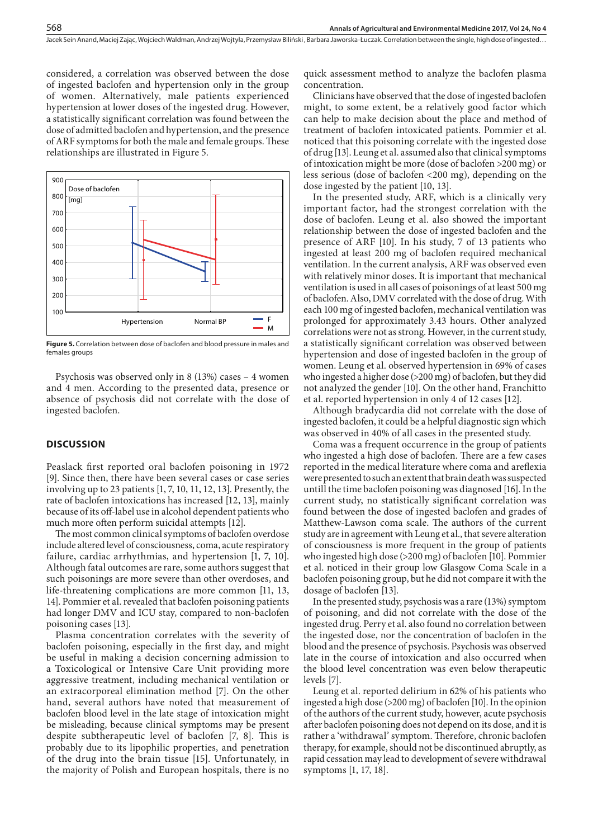Jacek Sein Anand, Maciej Zając, Wojciech Waldman, Andrzej Wojtyła, Przemysław Biliński , Barbara Jaworska-Łuczak . Correlation between the single, high dose of ingested…

considered, a correlation was observed between the dose of ingested baclofen and hypertension only in the group of women. Alternatively, male patients experienced hypertension at lower doses of the ingested drug. However, a statistically significant correlation was found between the dose of admitted baclofen and hypertension, and the presence of ARF symptoms for both the male and female groups. These relationships are illustrated in Figure 5.



**Figure 5.** Correlation between dose of baclofen and blood pressure in males and females groups

Psychosis was observed only in 8 (13%) cases – 4 women and 4 men. According to the presented data, presence or absence of psychosis did not correlate with the dose of ingested baclofen.

## **DISCUSSION**

Peaslack first reported oral baclofen poisoning in 1972 [9]. Since then, there have been several cases or case series involving up to 23 patients [1, 7, 10, 11, 12, 13]. Presently, the rate of baclofen intoxications has increased [12, 13], mainly because of its off-label use in alcohol dependent patients who much more often perform suicidal attempts [12].

The most common clinical symptoms of baclofen overdose include altered level of consciousness, coma, acute respiratory failure, cardiac arrhythmias, and hypertension [1, 7, 10]. Although fatal outcomes are rare, some authors suggest that such poisonings are more severe than other overdoses, and life-threatening complications are more common [11, 13, 14]. Pommier et al. revealed that baclofen poisoning patients had longer DMV and ICU stay, compared to non-baclofen poisoning cases [13].

Plasma concentration correlates with the severity of baclofen poisoning, especially in the first day, and might be useful in making a decision concerning admission to a Toxicological or Intensive Care Unit providing more aggressive treatment, including mechanical ventilation or an extracorporeal elimination method [7]. On the other hand, several authors have noted that measurement of baclofen blood level in the late stage of intoxication might be misleading, because clinical symptoms may be present despite subtherapeutic level of baclofen [7, 8]. This is probably due to its lipophilic properties, and penetration of the drug into the brain tissue [15]. Unfortunately, in the majority of Polish and European hospitals, there is no

quick assessment method to analyze the baclofen plasma concentration.

Clinicians have observed that the dose of ingested baclofen might, to some extent, be a relatively good factor which can help to make decision about the place and method of treatment of baclofen intoxicated patients. Pommier et al. noticed that this poisoning correlate with the ingested dose of drug [13]. Leung et al. assumed also that clinical symptoms of intoxication might be more (dose of baclofen >200 mg) or less serious (dose of baclofen <200 mg), depending on the dose ingested by the patient [10, 13].

In the presented study, ARF, which is a clinically very important factor, had the strongest correlation with the dose of baclofen. Leung et al. also showed the important relationship between the dose of ingested baclofen and the presence of ARF [10]. In his study, 7 of 13 patients who ingested at least 200 mg of baclofen required mechanical ventilation. In the current analysis, ARF was observed even with relatively minor doses. It is important that mechanical ventilation is used in all cases of poisonings of at least 500 mg of baclofen. Also, DMV correlated with the dose of drug. With each 100 mg of ingested baclofen, mechanical ventilation was prolonged for approximately 3.43 hours. Other analyzed correlations were not as strong. However, in the current study, a statistically significant correlation was observed between hypertension and dose of ingested baclofen in the group of women. Leung et al. observed hypertension in 69% of cases who ingested a higher dose (>200 mg) of baclofen, but they did not analyzed the gender [10]. On the other hand, Franchitto et al. reported hypertension in only 4 of 12 cases [12].

Although bradycardia did not correlate with the dose of ingested baclofen, it could be a helpful diagnostic sign which was observed in 40% of all cases in the presented study.

Coma was a frequent occurrence in the group of patients who ingested a high dose of baclofen. There are a few cases reported in the medical literature where coma and areflexia were presented to such an extent that brain death was suspected untill the time baclofen poisoning was diagnosed [16]. In the current study, no statistically significant correlation was found between the dose of ingested baclofen and grades of Matthew-Lawson coma scale. The authors of the current study are in agreement with Leung et al., that severe alteration of consciousness is more frequent in the group of patients who ingested high dose (>200 mg) of baclofen [10]. Pommier et al. noticed in their group low Glasgow Coma Scale in a baclofen poisoning group, but he did not compare it with the dosage of baclofen [13].

In the presented study, psychosis was a rare (13%) symptom of poisoning, and did not correlate with the dose of the ingested drug. Perry et al. also found no correlation between the ingested dose, nor the concentration of baclofen in the blood and the presence of psychosis. Psychosis was observed late in the course of intoxication and also occurred when the blood level concentration was even below therapeutic levels [7].

Leung et al. reported delirium in 62% of his patients who ingested a high dose (>200 mg) of baclofen [10]. In the opinion of the authors of the current study, however, acute psychosis after baclofen poisoning does not depend on its dose, and it is rather a 'withdrawal' symptom. Therefore, chronic baclofen therapy, for example, should not be discontinued abruptly, as rapid cessation may lead to development of severe withdrawal symptoms [1, 17, 18].